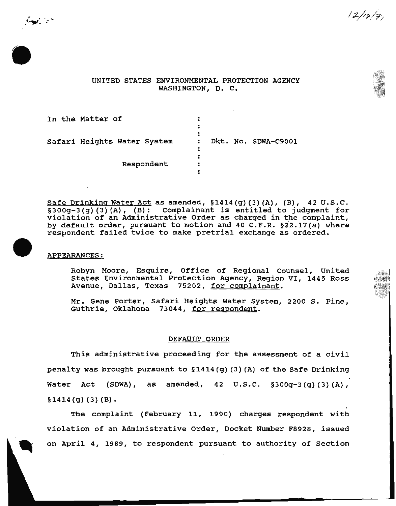UNITED STATES ENVIRONMENTAL PROTECTION AGENCY WASHINGTON, D. C.

 $12/r_2/g$ 

| In the Matter of            | х                              |  | Dkt. No. SDWA-C9001 |
|-----------------------------|--------------------------------|--|---------------------|
| Safari Heights Water System | ٠<br>$\ddot{\phantom{a}}$<br>: |  |                     |
| Respondent                  | ٠<br>:                         |  |                     |

Safe Drinking Water Act as amended, §1414(g) (3) (A), (B), 42 u.s.c. §300g-3 (g) (3) (A), (B): Complainant is entitled to judgment for violation of an Administrative Order as charged in the complaint, by default order, pursuant to motion and 40 C.F.R.  $\S22.17(a)$  where respondent failed twice to make pretrial exchange as ordered.

# APPEARANCES:

 $\zeta_{\mathbf{S}'}$  is  $\zeta$ 

Robyn Moore, Esquire, Office of Regional counsel, United States Environmental Protection Agency, Region VI, 1445 Ross Avenue, Dallas, Texas 75202, for complainant.

Mr. Gene Porter, Safari Heights Water System, 2200 s. Pine, Guthrie, Oklahoma 73044, for respondent.

### DEFAULT ORDER

This administrative proceeding for the assessment of a civil penalty was brought pursuant to §1414 (g) (3) (A) of the Safe Drinking Water Act (SDWA), as amended, 42  $U.S.C.$  §300q-3(q)(3)(A),  $$1414(g)(3)(B).$ 

The complaint (February 11, 1990) charges respondent with violation of an Administrative Order, Docket Number F8928, issued on April 4, 1989, to respondent pursuant to authority of Section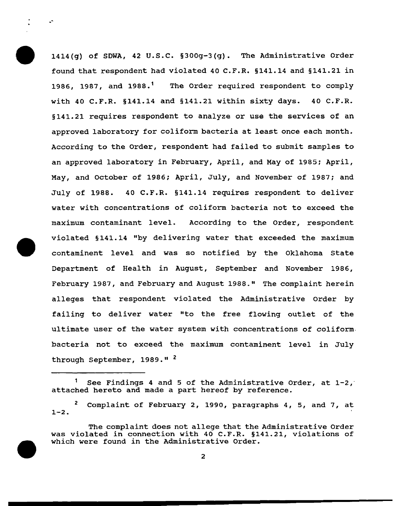1414{g) of SDWA, 42 u.s.c. §300g-3(g). The Administrative Order found that respondent had violated 40 C.F.R. §141.14 and §141.21 in 1986, 1987, and 1988.<sup>1</sup> The Order required respondent to comply with 40 C.F.R. §141.14 and §141.21 within sixty days. 40 C.F.R. §141.21 requires respondent to analyze or use the services of an approved laboratory for coliform bacteria at least once each month. According to the Order, respondent had failed to submit samples to an approved laboratory in February, April, and May of 1985: April, May, and October of 1986; April, July, and November of 1987: and July of 1988. 40 C.F.R. §141.14 requires respondent to deliver water with concentrations of coliform bacteria not to exceed the maximum contaminant level. According to the Order, respondent violated §141.14 "by delivering water that exceeded the maximum contaminent level and was so notified by the Oklahoma State Department of Health in August, September and November 1986, February 1987, and February and August 1988." The complaint herein alleges that respondent violated the Administrative Order by failing to deliver water "to the free flowing outlet of the ultimate user of the water system with concentrations of coliform. bacteria not to exceed the maximum contaminent level in July through September, 1989."<sup>2</sup>

 $\mathbb{Z}^{\frac{1}{n}}$ 

<sup>1</sup> See Findings 4 and 5 of the Administrative Order, at  $1-2$ , attached hereto and made a part hereof by reference.

<sup>2</sup> Complaint of February 2, 1990, paragraphs 4, 5, and 7, at  $1 - 2$ .

The complaint does not allege that the Administrative Order was violated in connection with 40 C.F.R. §141.21, violations of which were found in the Administrative Order.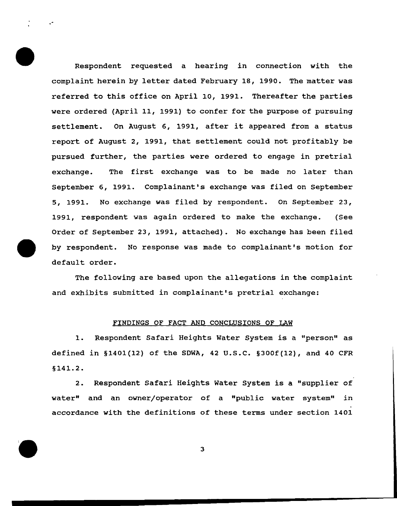Respondent requested a hearing in connection with the complaint herein by letter dated February 18, 1990. The matter was referred to this office on April 10, 1991. Thereafter the parties were ordered (April 11, 1991) to confer for the purpose of pursuing settlement. On August 6, 1991, after it appeared from a status report of August 2, 1991, that settlement could not profitably be pursued further, the parties were ordered to engage in pretrial exchange. The first exchange was to be made no later than September 6, 1991. Complainant's exchange was filed on September 5, 1991. No exchange was filed by respondent. On September 23, 1991, respondent was again ordered to make the exchange. (See Order of September 23, 1991, attached) . No exchange has been filed by respondent. No response was made to complainant's motion for default order.

.-

The following are based upon the allegations in the complaint and exhibits submitted in complainant's pretrial exchange:

### FINDINGS OF FACT AND CONCLUSIONS OF LAW

1. Respondent Safari Heights Water System is a "person" as defined in §1401(12) of the SDWA, 42 u.s.c. §300f(12), and 40 CFR § 141.2.

2. Respondent Safari Heights Water System is a "supplier of water" and an owner/operator of a "public water system" in accordance with the definitions of these terms under section 1401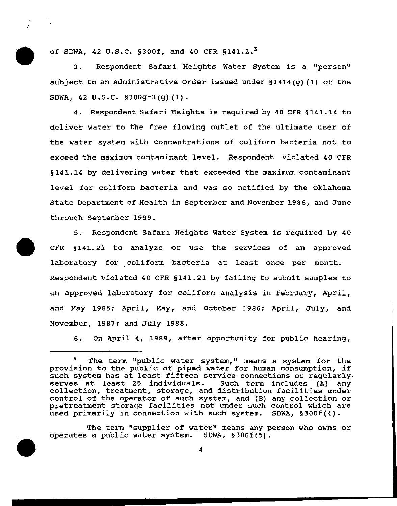of SDWA, 42 U.S.C. §300f, and 40 CFR  $$141.2.^3$ 

 $\sim$ 

3. Respondent Safari Heights Water System is a "person" subject to an Administrative Order issued under §1414(g) (1) of the SDWA, 42 U.S.C. §300g-3(g) (1).

4. Respondent Safari Heights is required by 40 CFR § 141. 14 to deliver water to the free flowing outlet of the ultimate user of the water system with concentrations of coliform bacteria not to exceed the maximum contaminant level. Respondent violated 40 CFR §141.14 by delivering water that exceeded the maximum contaminant level for coliform bacteria and was so notified by the Oklahoma State Department of Health in September and November 1986, and June through September 1989.

5. Respondent Safari Heights Water System is required by 40 CFR §141.21 to analyze or use the services of an approved laboratory for coliform bacteria at least once per month. Respondent violated 40 CFR §141.21 by failing to submit samples to an approved laboratory for coliform analysis in February, April, and May 1985; April, May, and October 1986; April, July, and November, 1987; and July 1988.

6. On April 4, 1989, after opportunity for public hearing,

The term "supplier of water" means any person who owns or operates a public water system. SDWA, §300f(5).

The term "public water system," means a system for the provision to the public of piped water for human consumption, if such system has at least fifteen service connections or regularly.<br>serves at least 25 individuals. Such term includes (A) any serves at least 25 individuals. collection, treatment, storage, and distribution facilities under control of the operator of such system, and (B) any collection or pretreatment storage facilities not under such control which are used primarily in connection with such system. SDWA, §300f(4).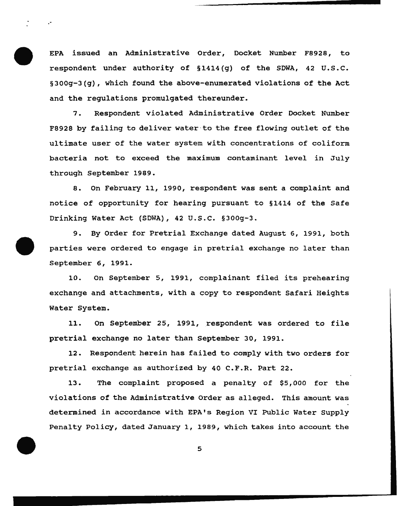EPA issued an Administrative Order, Docket Number F8928, to respondent under authority of §1414(g) of the SDWA, 42 U.S.C. §300g-3(g), which found the above-enumerated violations of the Act and the regulations promulgated thereunder.

.-

7. Respondent violated Administrative Order Docket Number F8928 by failing to deliver water to the free flowing outlet of the ultimate user of the water system with concentrations of coliform bacteria not to exceed the maximum contaminant level in July through September 1989.

8. On February 11, 1990, respondent was sent a complaint and notice of opportunity for hearing pursuant to §1414 of the Safe Drinking Water Act (SDWA), 42 u.s.c. §300g-3.

9. By Order for Pretrial Exchange dated August 6, 1991, both parties were ordered to engage in pretrial exchange no later than September 6, 1991.

10. on September 5, 1991, complainant filed its prehearing exchange and attachments, with a copy to respondent Safari Heights Water System.

11. On September 25, 1991, respondent was ordered to file pretrial exchange no later than September 30, 1991.

12. Respondent herein has failed to comply with two orders for pretrial exchange as authorized by 40 C.F.R. Part 22.

13. The complaint proposed a penalty of \$5, 000 for the violations of the Administrative Order as alleged. This amount was determined in accordance with EPA's Region VI Public Water supply Penalty Policy, dated January 1, 1989, which takes into account the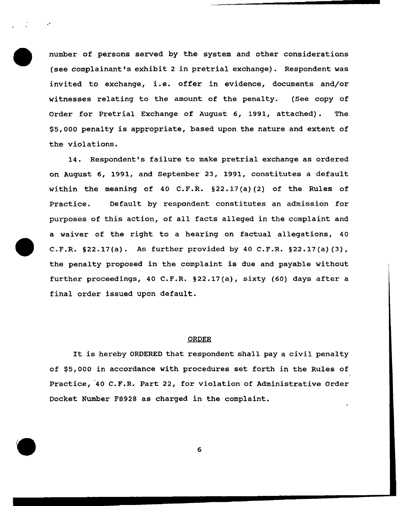number of persons served by the system and other considerations (see complainant's exhibit 2 in pretrial exchange). Respondent was invited to exchange, i.e. offer in evidence, documents and/or witnesses relating to the amount of the penalty. (See copy of Order for Pretrial Exchange of August 6, 1991, attached). The \$5,000 penalty is appropriate, based upon the nature and extent of the violations.

14. Respondent's failure to make pretrial exchange as ordered on August 6, 1991, and September 23, 1991, constitutes a default within the meaning of 40 C.F.R.  $\S 22.17(a)$  (2) of the Rules of Practice. Default by respondent constitutes an admission for purposes of this action, of all facts alleged in the complaint and a waiver of the right to a hearing on factual allegations, 40 C.F.R. §22.17(a). As further provided by 40 C.F.R. §22.17(a) (3), the penalty proposed in the complaint is due and payable without further proceedings, 40 C.F.R. §22.17(a), sixty (60) days after a final order issued upon default.

### ORDER

It is hereby ORDERED that respondent shall pay a civil penalty of \$5,000 in accordance with procedures set forth in the Rules of Practice, '40 C.F.R. Part 22, for violation of Administrative Order Docket Number F8928 as charged in the complaint.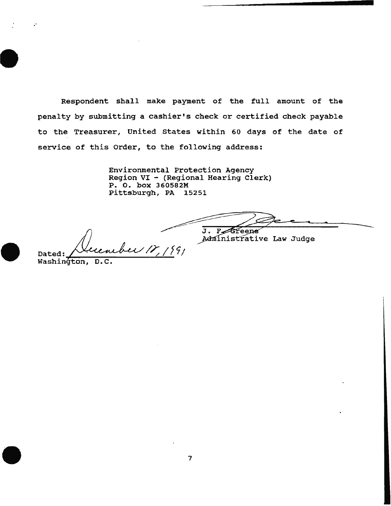Respondent shall make payment of the full amount of the penalty by submitting a cashier's check or certified check payable to the Treasurer, United States within 60 days of the date of service of this Order, to the following address:

> Environmental Protection Agency Region VI - (Regional Hearing Clerk) P. o. box 360582M Pittsburgh, PA 15251

J. Fereene

Administrative Law Judge

Dated: *Necember 17, 1991*<br>Washington, D.C.

.·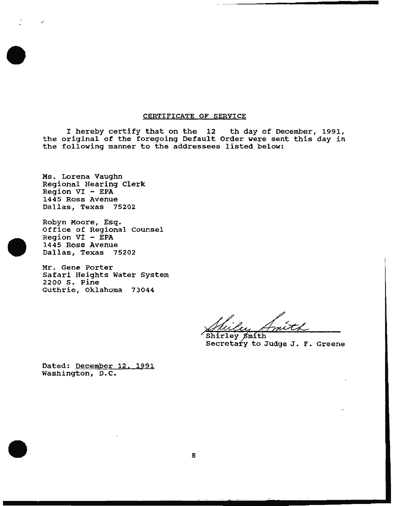### CERTIFICATE OF SERVICE

I hereby certify that on the 12 th day of December, 1991, the original of the foregoing Default Order were sent this day in the following manner to the addressees listed below:

Ms. Lorena Vaughn Regional Hearing Clerk Region VI - EPA 1445 Ross Avenue Dallas, Texas 75202

.·

Robyn Moore, Esq. Office of Regional counsel  $Region VI - EPA$ 1445 Ross Avenue Dallas, Texas 75202

Mr. Gene Porter Safari Heights Water System 2200 s. Pine Guthrie, Oklahoma 73044

 $7-1$ Shirley Smith

Secretary to Judge J. F. Greene

Dated: December 12, 1991 Washington, D.C.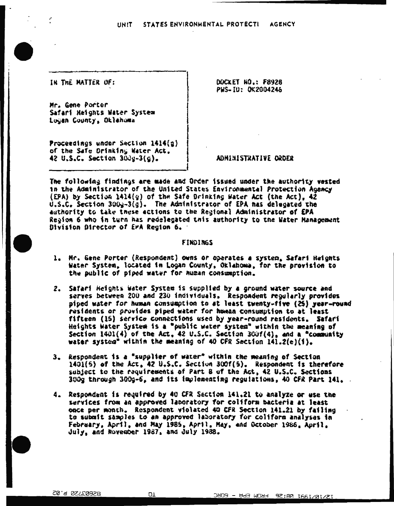UNIT STATES ENVIRONMENTAL PROTECTI AGENCY

IN THE MATTER OF:

Mr. Gene Porter Safari Heights Water System Logan County, Oklahoma

Proceedings under Section  $1414(q)$ of the Safe Orinking Water Act. 42 U.S.C. Section 300g-3(g).

DOCkET wO.: f8928 PWS- 10: OK2004246

ADHIMISTRATIVE ORDER

*-------------------------'*  The following findings are made and Order issued under the authority vested in the Administrator of the United States Environmental Protection Agency (EPA) by Section 1414( $q$ ) of the Safe Drinking Water Act (the Act), 42 u.s.C. Section 300y-3(g). The Administrator of *EPA* has delegated the authority to take these actions to the Regional Administrator of EPA Region 6 who in turn has redelegated tnis authority to the Water Hanagement Division Director of EPA Region 6.

### fiNOl!WiS

- 1. Mr. Gene Porter (Respondent) owns or operates a system. Safari Heights Wither System. located in Logan County, Oklahoma. for the provision to the public of piped water for human consumption.
- 2. Safari Heights Water System is supplied by a ground water source and serves between 200 and 230 individuals. Respondent regularly provides piped water for human consumption to at least twenty-five (25) year-round residents or provides piped water for human consumption to at least fifteen (15) service connections used by year-round residents. Safari Heights Water System is a "public water system" within the meaning of Section  $1401(4)$  of the Act. 42 U.S.C. Section 300f(4), and a "community water system<sup>®</sup> within the meaning of 40 CFR Section  $141.2(e)(f)$ .
- 3. Respondent is a "supplier of water" within the meaning of Section  $1401(5)$  of the Act. 42 U.S.C. Section 300f(5). Respondent is therefore subject to the raquirements of Part B of the Act, 42 U.S.C. Sections  $300g$  through  $300g-6$ , and its implementing regulations, 40 CFR Part 141.
- 4. Respondent is required by 40 CFR Section 141.21 to analyze or use the services from an approved laboratory for coliform bacteria at least once per month. Respondent violated 40 CFR Section 141.21 by failing to submit samples to an approved laboratory for coliform analyses in February, April, and May 1985, April. May, and October 1986, April.  $J$ uly, and November 1987, and  $J$ uly 1988.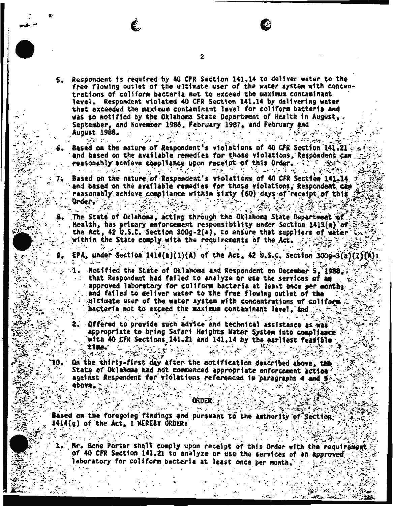2

- Respondent is required by 40 CFR Section 141.14 to deliver water to the 5. free flowing outlet of the ultimate user of the water system with concentrations of coliform bacteria not to exceed the maximum contaminant level. Respondent violated 40 CFR Section 141.14 by delivering water that exceeded the maximum contaminant level for coliform bacteria and was so notified by the Oklahoma State Department of Health in August, September, and November 1986, February 1987, and February and August 1988.
	- Based on the nature of Respondent's violations of 40 CFR Section 141.21 and based on the available remedies for those violations, Respondent can reasonably achieve compliance upon receipt of this Order. and the second second and the second المنافعة المتواطن والمعارضة
	- $\label{eq:2.1} \mathcal{L}(\mathcal{E}) = \sum_{i=1}^n \mathcal{L}(\mathcal{E}) \mathcal{L}(\mathcal{E}) = 0.$ Based on the nature of Respondent's violations of 40 CFR Section 141.14 and based on the available remedies for those violations, Respondent can reasonably achieve compliance within sixty (60) days of receipt of this Grder.
	- The State of Oklahoma, acting through the Oklahoma State Department of Health, has primary enforcement responsibility under Section 1413(a) of the Act, 42 U.S.C. Section 300g-2(a), to ensure that suppliers of water within the State comply with the requirements of the Act.
		- EPA, under Section 1414(a)(1)(A) of the Act. 42 U.S.C. Section 300g-3(a)(3
			- Notified the State of Oklahoma and Respondent on December 5, 1988. that Respondent had failed to analyze or use the services of am approved laboratory for coliform bacteria at least once per months and failed to deliver water to the free flowing outlet of the ultimate user of the water system with concentrations of coliform bacteria not to exceed the maximum contaminant level, and. क्टूबर के अपने <sup>दौ</sup>हार
			- $\frac{1}{2}$ **SOffered to provide such advice and technical assistance as was** appropriate to bring Safari Heights Mater System into compliance with 40 CFR Sections 141.21 and 141.14 by the earliest Teasible
- On the thirty-first day after the notification described above, the State of Oklahoma had not commenced appropriate enforcement action? against Respondent for violations referenced in paragraphs 4 and 5. abova.

ORDER

Based on the foregoing findings and pursuant to the authority of Section. 1414(g) of the Act, I HEREBY ORDER:

Mr. Gene Porter shall comply upon receipt of this Order with the requirement of 40 CFR Section 141.21 to analyze or use the services of an approved laboratory for coliform bacteria at least once per month.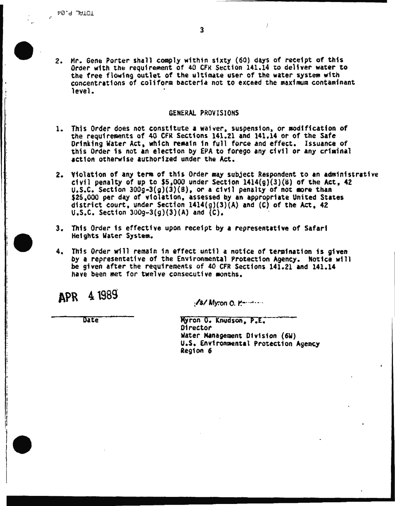2. Mr. Gene Porter shall comply within sixty (60) days of receipt of this *Order with the requirement of 40 CFR Section 141.14 to deliver water to* the free flowing outlet of the ultimate user of the water system with concentrations of coliform bacteria not to exceed the maximum contaminant level.

# GENERAL PROVISIONS

- 1. This Order does not constitute a waiver, suspension, or modification of the requirements of 40 CFR Sections 141.21 and 141.14 or of the Safe Drinking Water Act, which remain in full force and effect. Issuance of this Order is not an election by EPA to forego any civil or any criminal action otherwise authorized under the Act.
- 2. Violation of any term of this Order may subject Respondent to an administrative civil penalty of up to \$5,000 under Section  $1414(g)(3)(8)$  of the Act, 42  $\mu$ , S.C. Section 300g-3(g)(3)(B), or a civil penalty of not more than \$25,000 per day of violation, assessed by an appropriate United States district court, under Section 1414(g)(3)(A) and (C) of the Act, 42 u.s.c. Section 300g~3(g)(3)(A) and (C).
- 3. This Order 1s effective upon receipt by a representative of Safari He1ghts Water System.
- 4. This Order will remain in effect until a notice of termination is given by a representative of the Environmental Protection Agency. Notice will be given after the requirements of 40 CFR Sections 141.21 and 141.14 have been met for twelve consecutive months.

**APR** 4l98S

 $\mathcal{C}$ s/ Myron 0. r.- $\cdots$ 

**Date** 

Myron 0. Knudson, P.E. Water Management Division (6W) u.s. Env1ron~ntal Protection Agency Region *6*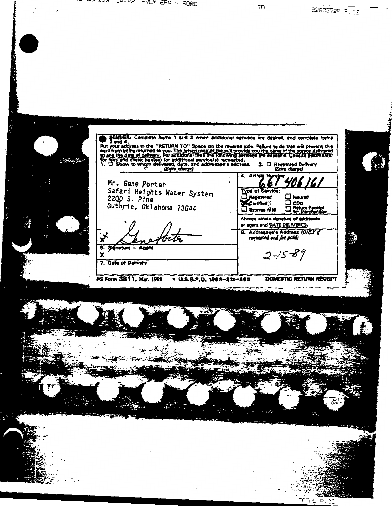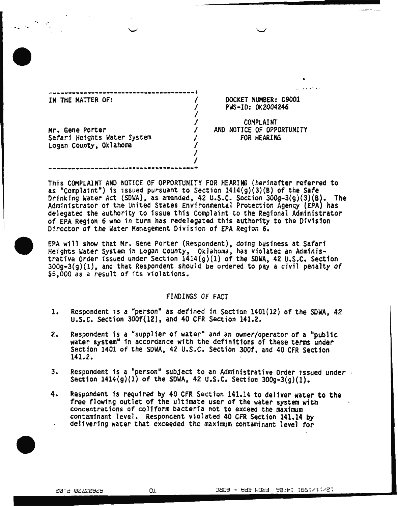IN THE MATTER OF: Mr. Gene Porter Safari Heights Water System Logan County, Oklahoma I  $\frac{1}{2}$ I I I I  $\frac{1}{2}$ I I

------··----------··------------------+

.·

DOCKET NUMBER: C9001 PWS·ID: OK2004246

• - .. ·'···

COMPLAINT AND NOTICE OF OPPORTUNITY FOR HEARING

This COMPLAINT AND NOTICE OF OPPORTUNITY FOR HEARING (herinafter referred to as "Complaint") is issued pursuant to Section  $1414(g)(3)(B)$  of the Safe Drinking Water Act (SDWA), as amended, 42 U.S.C. Section 300g-3(g)(3)(B). The Administrator of the United States Environmental Protection Agency (EPA) has delegated the authority to 1ssue this Complaint to the Regional Administrator of EPA Region 6 who in turn has redelegated this authority to the Division Director of the water Management Division of EPA Region 6.

EPA will show that Mr. Gene Porter (Respondent), doing business at Safari Heights Water System in Logan county, Ok1ahoma, has violated an Administrative Order issued under Section 14l4(g)(l) of the SOWA, 42 U.S~C. Section  $300g-3(g)(1)$ , and that Respondent should be ordered to pay a civil penalty of \$5,000 as a result of its violations.

# FINDINGS OF FACT

- 1. Respondent is a "person" as defined in Section 1401(12) of the SDWA, 42 u.s.c. section 300f(l2), and 40 CFR Section 141.2.
- 2. Respondent is a "supplier of water" and an owner/operator of a "public water system" in accordance with the definitions of these terms under Section 1401 of the SDWA, 42 U.S.C. Section 300f, and 40 CFR Section 141.2.
- 3. Respondent is a "person" subject to an Administrative Order issued under . Section  $1414(g)(1)$  of the SDWA, 42 U.S.C. Section  $300g-3(g)(1)$ .
- 4. Respondent fs required by 40 CFR Section 141.14 to deliver water to the free flowing outlet of the ultimate user of the water system with concentrations of coliform bacteria not to exceed the maximum contaminant level. Respondent violated 40 CFR Section 141.14 by delivering water that exceeded the maximum contaminant level for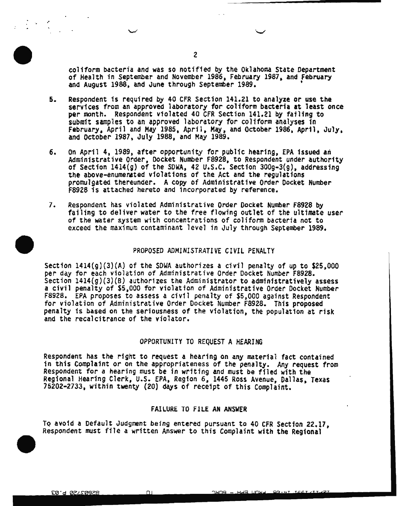coliform bacteria and was so notified by the Oklahoma State Department<br>of Health in September and November 1986, February 1987, and February<br>and August 1988, and June through September 1989.

- 5. Respondent 1s required by 40 CFR section 141.21 to analyze or use the services from an approved laboratory for coliform bacteria at least once per month. Respondent violated 40 CFR section 141.21 by failing to subm1t samples to an approved laboratory for coliform analyses in February, April and May 1985, April, May, and October 1986, April, July,<br>and October 1987, July 1988, and May 1989.
- 6. On April 4. 1989, after opportunity for public hearing, EPA issued an Administrative Order, Docket Number F8928, to Respondent under authority of Section 1414(g} of the SDWA, 42 u.s.c. Section 300g-3{g), addressing the above-enumenated violations of the Act and the regulations promulgated thereunder. A copy of Adm1nistrat1ve Order Docket Number F89Z8 is attached hereto and incorporated by reference.
- 7. Respondent has violated Administrative Order Docket Number F8928 by failing to deliver water to the free flowing outlet of the ultimate user of the water system with concentrations of coliform bacteria not to exceed the maximum contaminant level in July through September 1989.

### PROPOSED ADMINISTRATIVE CIVIL PENALTY

Section  $1414(g)(3)(A)$  of the SDWA authorizes a civil penalty of up to \$25,000 per day for each violation of Administrative Order Docket Number F8928. Section  $1414(g)(3)(B)$  authorizes the Administrator to administratively assess a civil penalty of \$5,000 for violation of Administrative Order Docket Number F8928. EPA proposes to assess a civil penalty of \$5,000 against Respondent for violation of Administrative Order Docket Number F8928. This proposed penalty is based on the seriousness of the violation, the population at risk and the recalcitrance of the violator.

### OPPORTUNITY TO REQUEST A HEARING

Respondent has the right to request a hearing on any material fact contained in this Complaint or on the appropriateness of the penalty. Any request from Respondent for a hearing must be in writing and must be filed with the Regional Hearing Clerk, u.s. EPA, Regfon 6. 1445 Ross Avenue, Dallas, Texas 75202-2733, within twenty (20) days of receipt of this Complaint.

# FAILURE TO FILE AN ANSWER

To avoid a Default Judgment being entered pursuant to 40 CFR Section 22.17, Respondent must file a written Answer to this Complaint with the Regional

.· . ...\_,

EQ.9 QSTED3SB

 $\bigcap$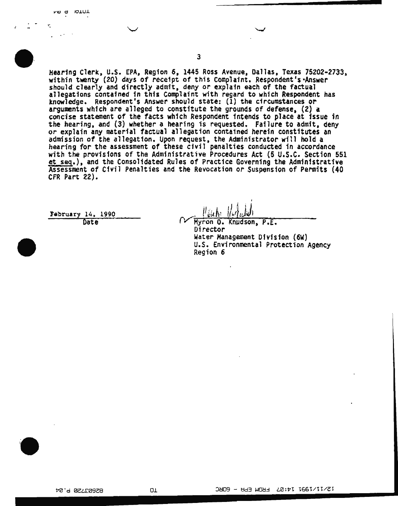$\overline{\phantom{a}}$ 

*3* 

Hearing Clerk, u.s. EPA, Region 6, 1445 Ross Avenue, Dallas, Texas 75202·2733, within twenty (20) days of receipt of this Complaint. Respondent's Answer should clearly and directly admit, deny or explain each of the factual allegations contained 1n this Complaint with regard to wh1ch Respondent has knowledge. Respondent's Answer should state: (1) the circumstances or arguments which are alleged to constitute the grounds of defense. (2) a concise statement of the facts wh1ch Respondent fntends to place at issue in the hearing. and (3) whether a hearing is requested. Failure to admit, deny *or* explain any material factual allegation conta1ned herein constftutes an admission of the allegation. Upon request, the Administrator will hold a hearing for the assessment of these civil penalties conducted in accordance with the provisions of the Administrative Procedures Act (5 U.S.C. Section 551 et seq.), and the Consolidated Rules of Practfce Governing the Administrative Assessment of Civil Penalties and the Revocation or Suspension of Permits (40 CFR Part 22).

february 14. 1990 Date

Myron O. Knudson, P.E. Director Water Management Dfv1s1on (6W) u.s. Environmental Protection Agency Region 6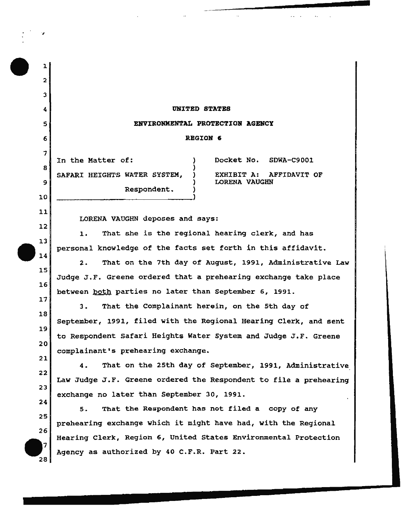# 4 UNITED STATES

### 5 ENVIRONMENTAL PROTECTION AGENCY

### 6 REGION 6

In the Matter of: } Docket No. SDWA-C9001 8 **)** (8) SAFARI HEIGHTS WATER SYSTEM, ) EXHIBIT A: AFFIDAVIT OF 9 ) LORENA VAUGHN Respondent. )

10 )

11 12

13

14

.,

1

2

3

7

LORENA VAUGHN deposes and says:

1. That she is the regional hearing clerk, and has personal knowledge of the facts set forth in this affidavit.

2. That on the 7th day of August, 1991, Administrative Law Judge J.F. Greene ordered that a prehearing exchange take place between both parties no later than September 6, 1991.

3. That the Complainant herein, on the 5th day of September, 1991, filed with the Regional Hearing Clerk, and sent to Respondent Safari Heights Water System and Judge J.F. Greene complainant's prehearing exchange.

4. That on the 25th day of September, 1991, Administrative Law Judge J.F. Greene ordered the Respondent to file a prehearing exchange no later than September 30, 1991.

5. That the Respondent has not filed a copy of any prehearing exchange which it might have had, with the Regional Hearing Clerk, Region 6, United States Environmental Protection Agency as authorized by 40 C.F.R. Part 22.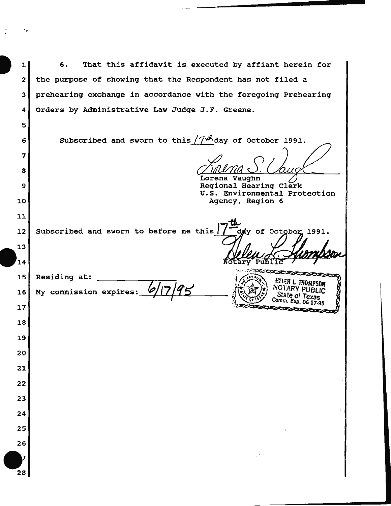**1**<br>
2<br>
2 *2*  3 4 6. That this affidavit is executed by affiant herein for the purpose of showing that the Respondent has not filed a prehearing exchange in accordance with the foregoing Prehearing Orders by Administrative Law Judge J.F. Greene.

Subscribed and sworn to this  $/7$ <sup> $/$ *A*</sup> day of October 1991.

Lorena Vaughn Regional Hearing Clerk u.s. Environmental Protection Agency, Region 6

12 Subscribed and sworn to before me this |

5

6

7

a

9

10

11

13

 $14$ 

17

18

19

20

21

*22* 

23

24

25

26

28

dy of October 1991. Puf

Comm. Exp. 06-17-95

15 16 Residing at:

~~~~------~Jff~·~ .. ~. .~~:~~~ .. ~~~~~Le~H~L~moQM~PS~O~N~ My commission expires: ft:,J/7/'f~ ~- <sup>y</sup>NOTARY PUBLIC , 1 " State of Texas oro.~'- Comm. Exp. a&-17.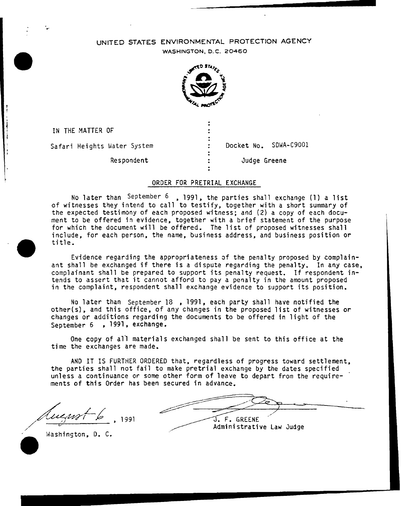# UNITED STATES ENVIRONMENTAL PROTECTION AGENCY

WASHINGTON, D. C. 20460



IN THE MATTER OF Safari Heights Water System

Respondent

Docket No. SDWA-C9001

Judge Greene

# ORDER FOR PRETRIAL EXCHANGE

No later than September  $6$ , 1991, the parties shall exchange (1) a list of witnesses they intend to call to testify, together with a short summary of the expected testimony of each proposed witness; and (2} a copy of each document to be offered in evidence, together with a brief statement of the purpose for which the document will be offered. The list of proposed witnesses shall include, for each person, the name, business address, and business position or title.

Evidence regarding the appropriateness of the penalty proposed by complainant shall be exchanged if there is a dispute regarding the penalty. In any case, complainant shall be prepared to support its penalty request. If respondent intends to assert that it cannot afford to pay a penalty in the amount proposed in the complaint, respondent shall exchange evidence to support its position.

No later than September 18 , 1991, each party shall have notified the other(s), and this office, of any changes in the proposed list of witnesses or changes or additions regarding the documents to be offered in light of the September 6 , 1991, exchange.

One copy of al1 materials exchanged shall be sent to this office at the time the exchanges are made.

AND IT IS FURTHER ORDERED that, regardless of progress toward settlement, the parties shall not fail to make pretrial exchange by the dates specified unless a continuance or some other form of leave to depart from the requirements of this Order has been secured in advance.

 $-6$  1991

J. F. GREENE Administrative Law Judge

Washington, D. C.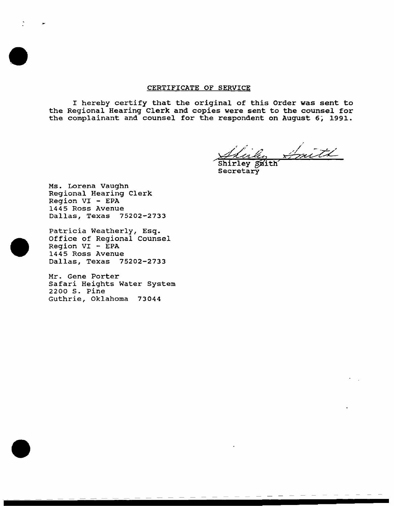#### CERTIFICATE OF SERVICE

I hereby certify that the original of this Order was sent to the Regional Hearing Clerk and copies were sent to the counsel for the complainant and counsel for the respondent on August 6, 1991.

mith

Shirley Smith Secretary

Ms. Lorena Vaughn Regional Hearing Clerk Region VI - EPA 1445 Ross Avenue Dallas, Texas 75202-2733

Patricia Weatherly, Esq. Office of Regional Counsel Region VI - EPA 1445 Ross Avenue Dallas, Texas 75202-2733

Mr. Gene Porter Safari Heights Water System 2200 s. Pine Guthrie, Oklahoma 73044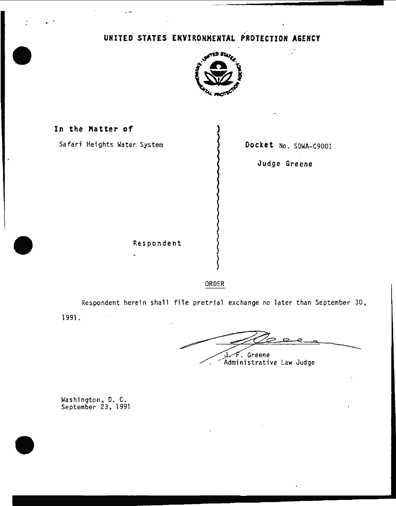# UNITED STATES ENVIRONMENTAL PROTECTION A&EHCY



In the Matter of Safari Heights Water System  $\{$  Docket No. SDWA-C9001 Judge Greene Respondent

ORDER

~

Respondent herein shall file pretrial exchange no later than September 30, 1991.

I.F. Greene<br>Administrative Law Judge

Washington. D. C. September 23, 1991

 $\cdot$